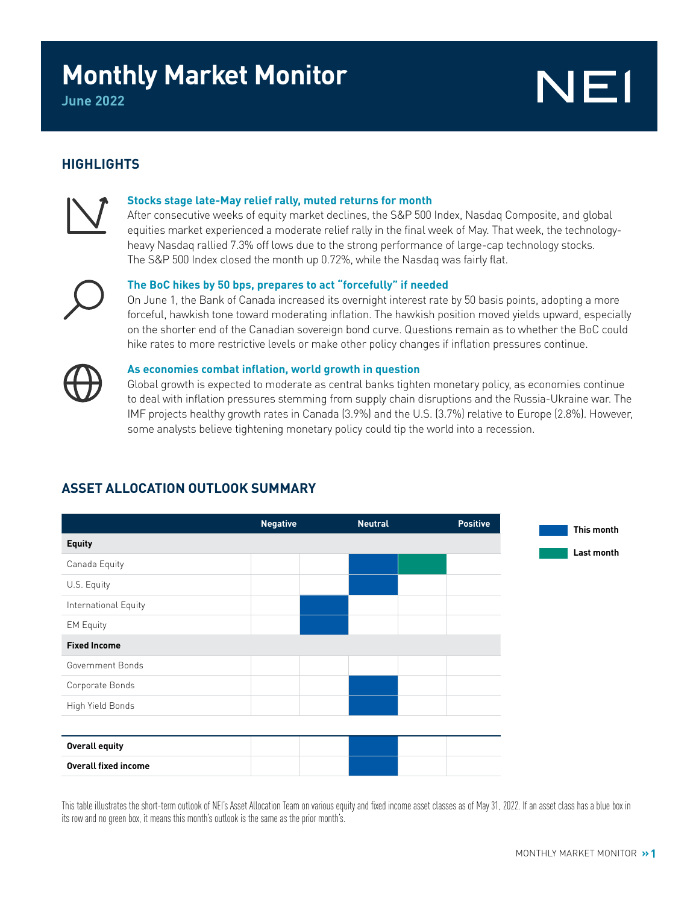# **Monthly Market Monitor**

# NE1

### **HIGHLIGHTS**



#### **Stocks stage late-May relief rally, muted returns for month**

After consecutive weeks of equity market declines, the S&P 500 Index, Nasdaq Composite, and global equities market experienced a moderate relief rally in the final week of May. That week, the technologyheavy Nasdaq rallied 7.3% off lows due to the strong performance of large-cap technology stocks. The S&P 500 Index closed the month up 0.72%, while the Nasdaq was fairly flat.



#### **The BoC hikes by 50 bps, prepares to act "forcefully" if needed**

On June 1, the Bank of Canada increased its overnight interest rate by 50 basis points, adopting a more forceful, hawkish tone toward moderating inflation. The hawkish position moved yields upward, especially on the shorter end of the Canadian sovereign bond curve. Questions remain as to whether the BoC could hike rates to more restrictive levels or make other policy changes if inflation pressures continue.



#### **As economies combat inflation, world growth in question**

Global growth is expected to moderate as central banks tighten monetary policy, as economies continue to deal with inflation pressures stemming from supply chain disruptions and the Russia-Ukraine war. The IMF projects healthy growth rates in Canada (3.9%) and the U.S. (3.7%) relative to Europe (2.8%). However, some analysts believe tightening monetary policy could tip the world into a recession.

# **Negative Neutral Positive Equity** Canada Equity U.S. Equity International Equity EM Equity **Fixed Income** Government Bonds Corporate Bonds High Yield Bonds **Overall equity Overall fixed income This month Last month**

## **ASSET ALLOCATION OUTLOOK SUMMARY**

This table illustrates the short-term outlook of NEI's Asset Allocation Team on various equity and fixed income asset classes as of May 31, 2022. If an asset class has a blue box in its row and no green box, it means this month's outlook is the same as the prior month's.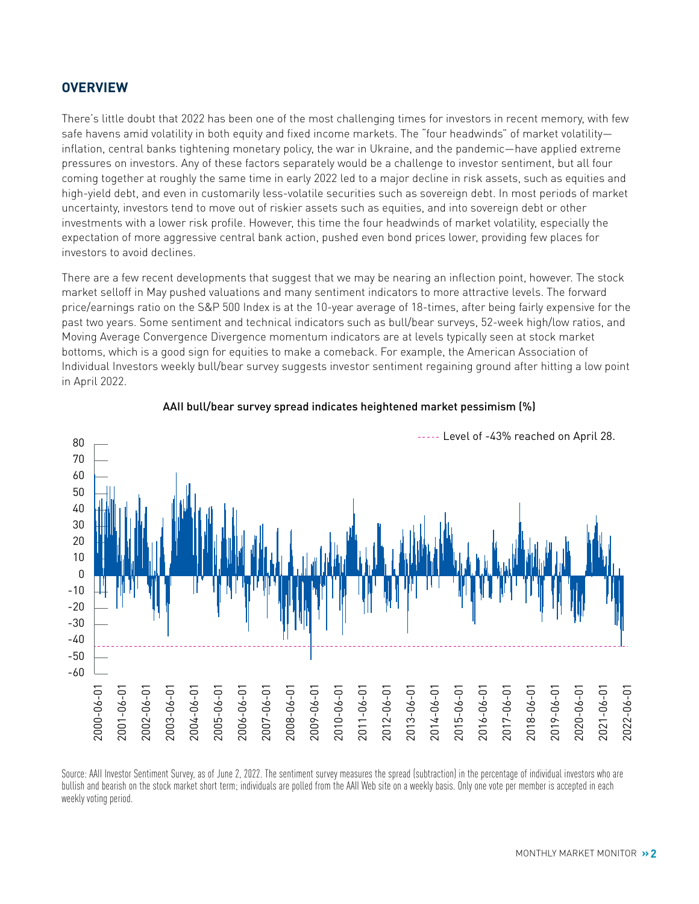#### **OVERVIEW**

There's little doubt that 2022 has been one of the most challenging times for investors in recent memory, with few safe havens amid volatility in both equity and fixed income markets. The "four headwinds" of market volatility inflation, central banks tightening monetary policy, the war in Ukraine, and the pandemic—have applied extreme pressures on investors. Any of these factors separately would be a challenge to investor sentiment, but all four coming together at roughly the same time in early 2022 led to a major decline in risk assets, such as equities and high-yield debt, and even in customarily less-volatile securities such as sovereign debt. In most periods of market uncertainty, investors tend to move out of riskier assets such as equities, and into sovereign debt or other investments with a lower risk profile. However, this time the four headwinds of market volatility, especially the expectation of more aggressive central bank action, pushed even bond prices lower, providing few places for investors to avoid declines.

There are a few recent developments that suggest that we may be nearing an inflection point, however. The stock market selloff in May pushed valuations and many sentiment indicators to more attractive levels. The forward price/earnings ratio on the S&P 500 Index is at the 10-year average of 18-times, after being fairly expensive for the past two years. Some sentiment and technical indicators such as bull/bear surveys, 52-week high/low ratios, and Moving Average Convergence Divergence momentum indicators are at levels typically seen at stock market bottoms, which is a good sign for equities to make a comeback. For example, the American Association of Individual Investors weekly bull/bear survey suggests investor sentiment regaining ground after hitting a low point in April 2022.



#### AAII bull/bear survey spread indicates heightened market pessimism (%)

Source: AAII Investor Sentiment Survey, as of June 2, 2022. The sentiment survey measures the spread (subtraction) in the percentage of individual investors who are bullish and bearish on the stock market short term; individuals are polled from the AAII Web site on a weekly basis. Only one vote per member is accepted in each weekly voting period.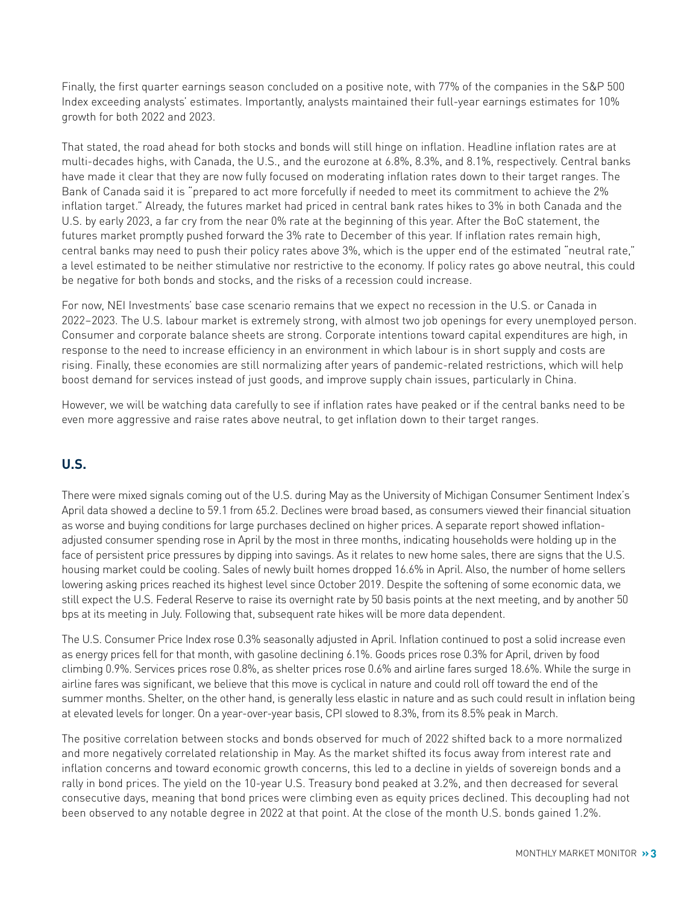Finally, the first quarter earnings season concluded on a positive note, with 77% of the companies in the S&P 500 Index exceeding analysts' estimates. Importantly, analysts maintained their full-year earnings estimates for 10% growth for both 2022 and 2023.

That stated, the road ahead for both stocks and bonds will still hinge on inflation. Headline inflation rates are at multi-decades highs, with Canada, the U.S., and the eurozone at 6.8%, 8.3%, and 8.1%, respectively. Central banks have made it clear that they are now fully focused on moderating inflation rates down to their target ranges. The Bank of Canada said it is "prepared to act more forcefully if needed to meet its commitment to achieve the 2% inflation target." Already, the futures market had priced in central bank rates hikes to 3% in both Canada and the U.S. by early 2023, a far cry from the near 0% rate at the beginning of this year. After the BoC statement, the futures market promptly pushed forward the 3% rate to December of this year. If inflation rates remain high, central banks may need to push their policy rates above 3%, which is the upper end of the estimated "neutral rate," a level estimated to be neither stimulative nor restrictive to the economy. If policy rates go above neutral, this could be negative for both bonds and stocks, and the risks of a recession could increase.

For now, NEI Investments' base case scenario remains that we expect no recession in the U.S. or Canada in 2022–2023. The U.S. labour market is extremely strong, with almost two job openings for every unemployed person. Consumer and corporate balance sheets are strong. Corporate intentions toward capital expenditures are high, in response to the need to increase efficiency in an environment in which labour is in short supply and costs are rising. Finally, these economies are still normalizing after years of pandemic-related restrictions, which will help boost demand for services instead of just goods, and improve supply chain issues, particularly in China.

However, we will be watching data carefully to see if inflation rates have peaked or if the central banks need to be even more aggressive and raise rates above neutral, to get inflation down to their target ranges.

#### **U.S.**

There were mixed signals coming out of the U.S. during May as the University of Michigan Consumer Sentiment Index's April data showed a decline to 59.1 from 65.2. Declines were broad based, as consumers viewed their financial situation as worse and buying conditions for large purchases declined on higher prices. A separate report showed inflationadjusted consumer spending rose in April by the most in three months, indicating households were holding up in the face of persistent price pressures by dipping into savings. As it relates to new home sales, there are signs that the U.S. housing market could be cooling. Sales of newly built homes dropped 16.6% in April. Also, the number of home sellers lowering asking prices reached its highest level since October 2019. Despite the softening of some economic data, we still expect the U.S. Federal Reserve to raise its overnight rate by 50 basis points at the next meeting, and by another 50 bps at its meeting in July. Following that, subsequent rate hikes will be more data dependent.

The U.S. Consumer Price Index rose 0.3% seasonally adjusted in April. Inflation continued to post a solid increase even as energy prices fell for that month, with gasoline declining 6.1%. Goods prices rose 0.3% for April, driven by food climbing 0.9%. Services prices rose 0.8%, as shelter prices rose 0.6% and airline fares surged 18.6%. While the surge in airline fares was significant, we believe that this move is cyclical in nature and could roll off toward the end of the summer months. Shelter, on the other hand, is generally less elastic in nature and as such could result in inflation being at elevated levels for longer. On a year-over-year basis, CPI slowed to 8.3%, from its 8.5% peak in March.

The positive correlation between stocks and bonds observed for much of 2022 shifted back to a more normalized and more negatively correlated relationship in May. As the market shifted its focus away from interest rate and inflation concerns and toward economic growth concerns, this led to a decline in yields of sovereign bonds and a rally in bond prices. The yield on the 10-year U.S. Treasury bond peaked at 3.2%, and then decreased for several consecutive days, meaning that bond prices were climbing even as equity prices declined. This decoupling had not been observed to any notable degree in 2022 at that point. At the close of the month U.S. bonds gained 1.2%.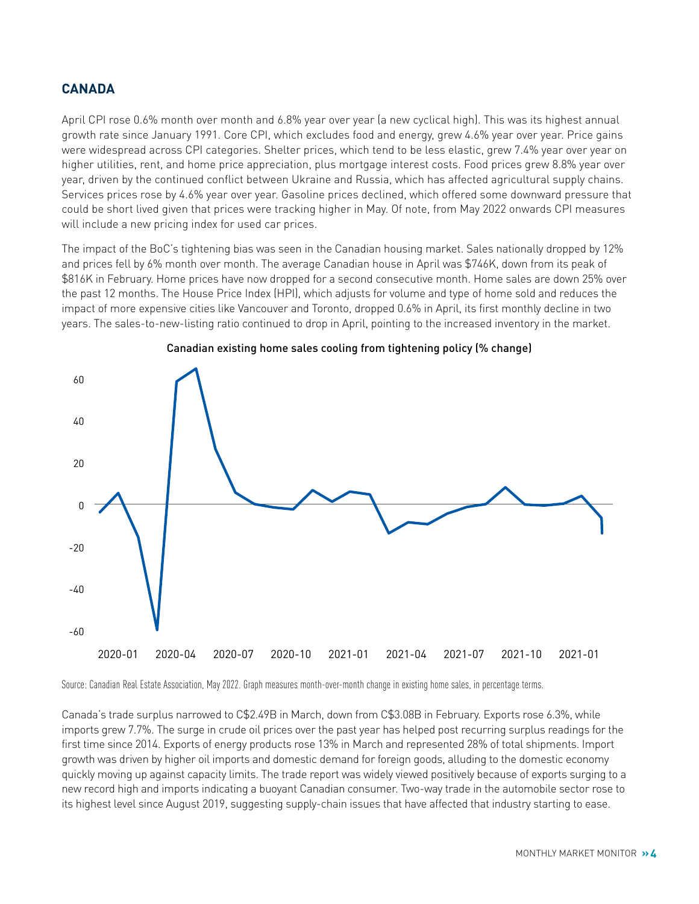#### **CANADA**

April CPI rose 0.6% month over month and 6.8% year over year (a new cyclical high). This was its highest annual growth rate since January 1991. Core CPI, which excludes food and energy, grew 4.6% year over year. Price gains were widespread across CPI categories. Shelter prices, which tend to be less elastic, grew 7.4% year over year on higher utilities, rent, and home price appreciation, plus mortgage interest costs. Food prices grew 8.8% year over year, driven by the continued conflict between Ukraine and Russia, which has affected agricultural supply chains. Services prices rose by 4.6% year over year. Gasoline prices declined, which offered some downward pressure that could be short lived given that prices were tracking higher in May. Of note, from May 2022 onwards CPI measures will include a new pricing index for used car prices.

The impact of the BoC's tightening bias was seen in the Canadian housing market. Sales nationally dropped by 12% and prices fell by 6% month over month. The average Canadian house in April was \$746K, down from its peak of \$816K in February. Home prices have now dropped for a second consecutive month. Home sales are down 25% over the past 12 months. The House Price Index (HPI), which adjusts for volume and type of home sold and reduces the impact of more expensive cities like Vancouver and Toronto, dropped 0.6% in April, its first monthly decline in two years. The sales-to-new-listing ratio continued to drop in April, pointing to the increased inventory in the market.





Source: Canadian Real Estate Association, May 2022. Graph measures month-over-month change in existing home sales, in percentage terms.

Canada's trade surplus narrowed to C\$2.49B in March, down from C\$3.08B in February. Exports rose 6.3%, while imports grew 7.7%. The surge in crude oil prices over the past year has helped post recurring surplus readings for the first time since 2014. Exports of energy products rose 13% in March and represented 28% of total shipments. Import growth was driven by higher oil imports and domestic demand for foreign goods, alluding to the domestic economy quickly moving up against capacity limits. The trade report was widely viewed positively because of exports surging to a new record high and imports indicating a buoyant Canadian consumer. Two-way trade in the automobile sector rose to its highest level since August 2019, suggesting supply-chain issues that have affected that industry starting to ease.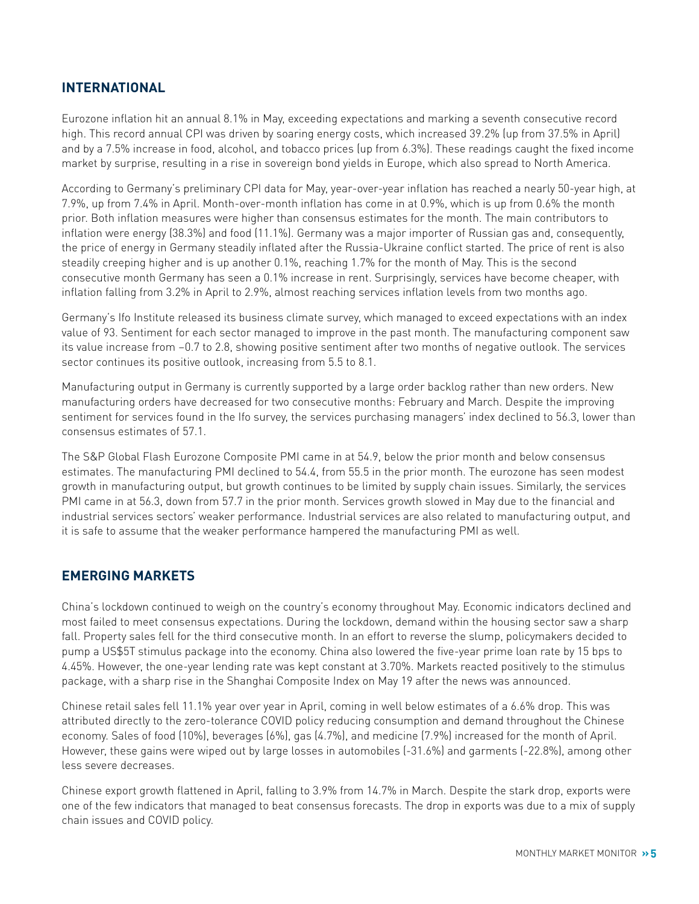#### **INTERNATIONAL**

Eurozone inflation hit an annual 8.1% in May, exceeding expectations and marking a seventh consecutive record high. This record annual CPI was driven by soaring energy costs, which increased 39.2% (up from 37.5% in April) and by a 7.5% increase in food, alcohol, and tobacco prices (up from 6.3%). These readings caught the fixed income market by surprise, resulting in a rise in sovereign bond yields in Europe, which also spread to North America.

According to Germany's preliminary CPI data for May, year-over-year inflation has reached a nearly 50-year high, at 7.9%, up from 7.4% in April. Month-over-month inflation has come in at 0.9%, which is up from 0.6% the month prior. Both inflation measures were higher than consensus estimates for the month. The main contributors to inflation were energy (38.3%) and food (11.1%). Germany was a major importer of Russian gas and, consequently, the price of energy in Germany steadily inflated after the Russia-Ukraine conflict started. The price of rent is also steadily creeping higher and is up another 0.1%, reaching 1.7% for the month of May. This is the second consecutive month Germany has seen a 0.1% increase in rent. Surprisingly, services have become cheaper, with inflation falling from 3.2% in April to 2.9%, almost reaching services inflation levels from two months ago.

Germany's Ifo Institute released its business climate survey, which managed to exceed expectations with an index value of 93. Sentiment for each sector managed to improve in the past month. The manufacturing component saw its value increase from –0.7 to 2.8, showing positive sentiment after two months of negative outlook. The services sector continues its positive outlook, increasing from 5.5 to 8.1.

Manufacturing output in Germany is currently supported by a large order backlog rather than new orders. New manufacturing orders have decreased for two consecutive months: February and March. Despite the improving sentiment for services found in the Ifo survey, the services purchasing managers' index declined to 56.3, lower than consensus estimates of 57.1.

The S&P Global Flash Eurozone Composite PMI came in at 54.9, below the prior month and below consensus estimates. The manufacturing PMI declined to 54.4, from 55.5 in the prior month. The eurozone has seen modest growth in manufacturing output, but growth continues to be limited by supply chain issues. Similarly, the services PMI came in at 56.3, down from 57.7 in the prior month. Services growth slowed in May due to the financial and industrial services sectors' weaker performance. Industrial services are also related to manufacturing output, and it is safe to assume that the weaker performance hampered the manufacturing PMI as well.

#### **EMERGING MARKETS**

China's lockdown continued to weigh on the country's economy throughout May. Economic indicators declined and most failed to meet consensus expectations. During the lockdown, demand within the housing sector saw a sharp fall. Property sales fell for the third consecutive month. In an effort to reverse the slump, policymakers decided to pump a US\$5T stimulus package into the economy. China also lowered the five-year prime loan rate by 15 bps to 4.45%. However, the one-year lending rate was kept constant at 3.70%. Markets reacted positively to the stimulus package, with a sharp rise in the Shanghai Composite Index on May 19 after the news was announced.

Chinese retail sales fell 11.1% year over year in April, coming in well below estimates of a 6.6% drop. This was attributed directly to the zero-tolerance COVID policy reducing consumption and demand throughout the Chinese economy. Sales of food (10%), beverages (6%), gas (4.7%), and medicine (7.9%) increased for the month of April. However, these gains were wiped out by large losses in automobiles (-31.6%) and garments (-22.8%), among other less severe decreases.

Chinese export growth flattened in April, falling to 3.9% from 14.7% in March. Despite the stark drop, exports were one of the few indicators that managed to beat consensus forecasts. The drop in exports was due to a mix of supply chain issues and COVID policy.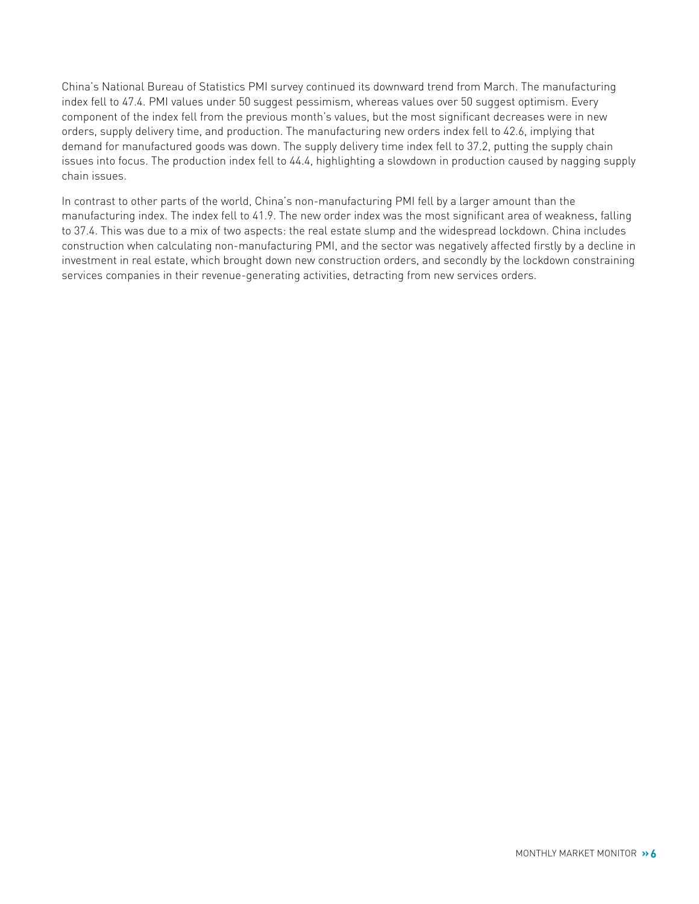China's National Bureau of Statistics PMI survey continued its downward trend from March. The manufacturing index fell to 47.4. PMI values under 50 suggest pessimism, whereas values over 50 suggest optimism. Every component of the index fell from the previous month's values, but the most significant decreases were in new orders, supply delivery time, and production. The manufacturing new orders index fell to 42.6, implying that demand for manufactured goods was down. The supply delivery time index fell to 37.2, putting the supply chain issues into focus. The production index fell to 44.4, highlighting a slowdown in production caused by nagging supply chain issues.

In contrast to other parts of the world, China's non-manufacturing PMI fell by a larger amount than the manufacturing index. The index fell to 41.9. The new order index was the most significant area of weakness, falling to 37.4. This was due to a mix of two aspects: the real estate slump and the widespread lockdown. China includes construction when calculating non-manufacturing PMI, and the sector was negatively affected firstly by a decline in investment in real estate, which brought down new construction orders, and secondly by the lockdown constraining services companies in their revenue-generating activities, detracting from new services orders.